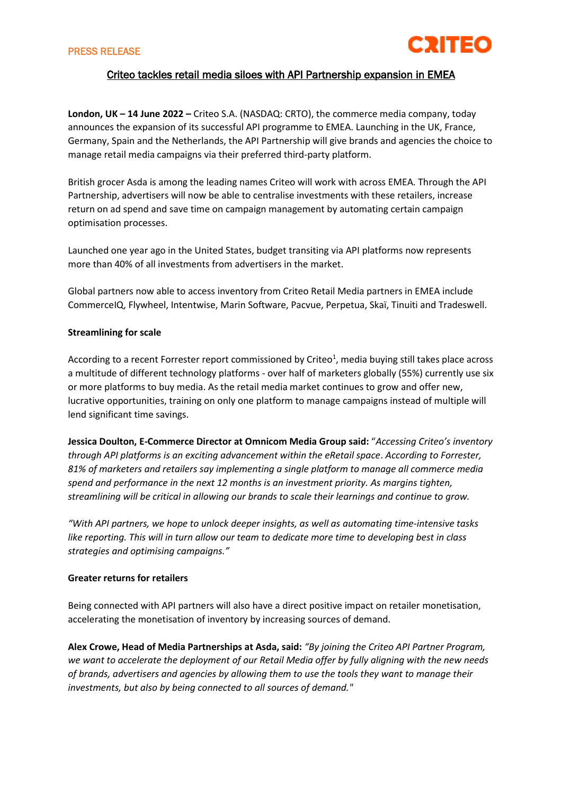

# Criteo tackles retail media siloes with API Partnership expansion in EMEA

**London, UK – 14 June 2022 –** Criteo S.A. (NASDAQ: CRTO), the commerce media company, today announces the expansion of its successful API programme to EMEA. Launching in the UK, France, Germany, Spain and the Netherlands, the API Partnership will give brands and agencies the choice to manage retail media campaigns via their preferred third-party platform.

British grocer Asda is among the leading names Criteo will work with across EMEA. Through the API Partnership, advertisers will now be able to centralise investments with these retailers, increase return on ad spend and save time on campaign management by automating certain campaign optimisation processes.

Launched one year ago in the United States, budget transiting via API platforms now represents more than 40% of all investments from advertisers in the market.

Global partners now able to access inventory from Criteo Retail Media partners in EMEA include CommerceIQ, Flywheel, Intentwise, Marin Software, Pacvue, Perpetua, Skaï, Tinuiti and Tradeswell.

#### **Streamlining for scale**

According to a recent Forrester report commissioned by Criteo<sup>1</sup>, media buying still takes place across a multitude of different technology platforms - over half of marketers globally (55%) currently use six or more platforms to buy media. As the retail media market continues to grow and offer new, lucrative opportunities, training on only one platform to manage campaigns instead of multiple will lend significant time savings.

**Jessica Doulton, E-Commerce Director at Omnicom Media Group said:** "*Accessing Criteo's inventory through API platforms is an exciting advancement within the eRetail space*. *According to Forrester, 81% of marketers and retailers say implementing a single platform to manage all commerce media spend and performance in the next 12 months is an investment priority. As margins tighten, streamlining will be critical in allowing our brands to scale their learnings and continue to grow.* 

*"With API partners, we hope to unlock deeper insights, as well as automating time-intensive tasks like reporting. This will in turn allow our team to dedicate more time to developing best in class strategies and optimising campaigns."*

## **Greater returns for retailers**

Being connected with API partners will also have a direct positive impact on retailer monetisation, accelerating the monetisation of inventory by increasing sources of demand.

**Alex Crowe, Head of Media Partnerships at Asda, said:** *"By joining the Criteo API Partner Program, we want to accelerate the deployment of our Retail Media offer by fully aligning with the new needs of brands, advertisers and agencies by allowing them to use the tools they want to manage their investments, but also by being connected to all sources of demand."*